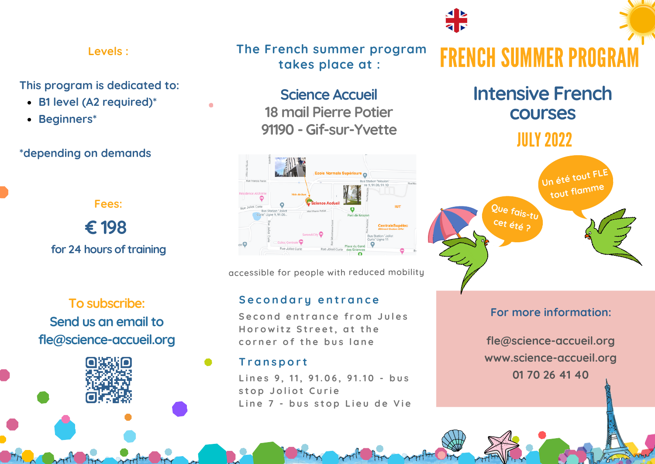#### **Levels :**

#### **This program is dedicated to:**

- **B1 level (A2 required)\***
- **Beginners\***

#### **\*depending on demands**

**Fees: € 198 for 24 hours of training**

**To subscribe: Send us an email to fle@science-accueil.org** **The French summer program takes place at :**

> **Science Accueil 18 mail Pierre Potier 91190 - Gif-sur-Yvette**

accessible for people with reduced mobility

#### **Secondary entrance**

**S e c o n d e n t r a n c e f r o m J u l e s** Horowitz Street, at the **c o r n e r o f t h e b u s l a n e**

#### **T r a n s p o r t**

**L i n e s 9 , 11, 9 1. 0 6 , 9 1.1 0 - b u s s t o p J o l i o t C u r i e L i n e 7 - b u s s t o p L i e u d e V i e**

# **FRENCH SUMMER PROG**

**Intensive French courses**

## **JULY 2022**



### **For more information:**

**fle@science-accueil.org www.science-accueil.org 01 70 26 41 40**